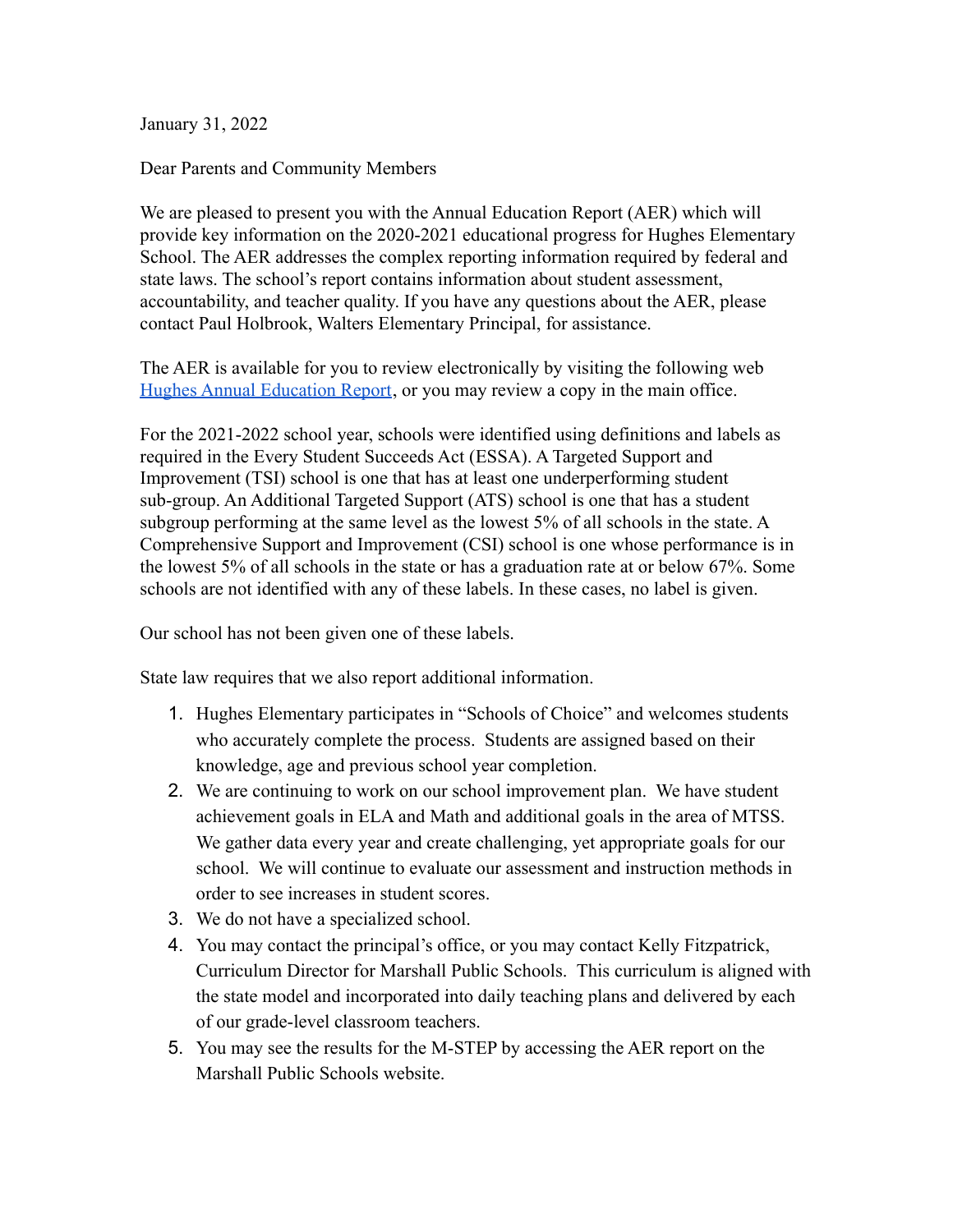January 31, 2022

Dear Parents and Community Members

We are pleased to present you with the Annual Education Report (AER) which will provide key information on the 2020-2021 educational progress for Hughes Elementary School. The AER addresses the complex reporting information required by federal and state laws. The school's report contains information about student assessment, accountability, and teacher quality. If you have any questions about the AER, please contact Paul Holbrook, Walters Elementary Principal, for assistance.

The AER is available for you to review electronically by visiting the following web [Hughes Annual Education Report](https://www.mischooldata.org/annual-education-report-1/), or you may review a copy in the main office.

For the 2021-2022 school year, schools were identified using definitions and labels as required in the Every Student Succeeds Act (ESSA). A Targeted Support and Improvement (TSI) school is one that has at least one underperforming student sub-group. An Additional Targeted Support (ATS) school is one that has a student subgroup performing at the same level as the lowest 5% of all schools in the state. A Comprehensive Support and Improvement (CSI) school is one whose performance is in the lowest 5% of all schools in the state or has a graduation rate at or below 67%. Some schools are not identified with any of these labels. In these cases, no label is given.

Our school has not been given one of these labels.

State law requires that we also report additional information.

- 1. Hughes Elementary participates in "Schools of Choice" and welcomes students who accurately complete the process. Students are assigned based on their knowledge, age and previous school year completion.
- 2. We are continuing to work on our school improvement plan. We have student achievement goals in ELA and Math and additional goals in the area of MTSS. We gather data every year and create challenging, yet appropriate goals for our school. We will continue to evaluate our assessment and instruction methods in order to see increases in student scores.
- 3. We do not have a specialized school.
- 4. You may contact the principal's office, or you may contact Kelly Fitzpatrick, Curriculum Director for Marshall Public Schools. This curriculum is aligned with the state model and incorporated into daily teaching plans and delivered by each of our grade-level classroom teachers.
- 5. You may see the results for the M-STEP by accessing the AER report on the Marshall Public Schools website.